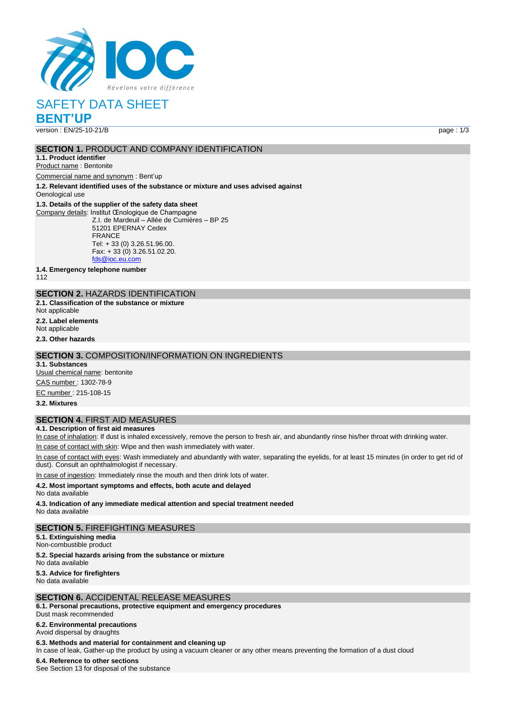

# SAFETY DATA SHEET

**BENT'UP**

version : EN/25-10-21/B page : 1/3

# **SECTION 1. PRODUCT AND COMPANY IDENTIFICATION**

**1.1. Product identifier**

Product name : Bentonite

Commercial name and synonym : Bent'up

**1.2. Relevant identified uses of the substance or mixture and uses advised against**

Oenological use

#### **1.3. Details of the supplier of the safety data sheet**

Company details: Institut Œnologique de Champagne Z.I. de Mardeuil – Allée de Cumières – BP 25 51201 EPERNAY Cedex FRANCE Tel: + 33 (0) 3.26.51.96.00. Fax: + 33 (0) 3.26.51.02.20. [fds@ioc.eu.com](mailto:fds@ioc.eu.com)

**1.4. Emergency telephone number**

112

# **SECTION 2.** HAZARDS IDENTIFICATION

**2.1. Classification of the substance or mixture**

Not applicable

**2.2. Label elements** Not applicable

**2.3. Other hazards**

#### **SECTION 3.** COMPOSITION/INFORMATION ON INGREDIENTS

**3.1. Substances**

Usual chemical name: bentonite

CAS number : 1302-78-9

EC number : 215-108-15

**3.2. Mixtures**

# **SECTION 4.** FIRST AID MEASURES

**4.1. Description of first aid measures**

In case of inhalation: If dust is inhaled excessively, remove the person to fresh air, and abundantly rinse his/her throat with drinking water.

In case of contact with skin: Wipe and then wash immediately with water.

In case of contact with eyes: Wash immediately and abundantly with water, separating the eyelids, for at least 15 minutes (in order to get rid of dust). Consult an ophthalmologist if necessary.

case of ingestion: Immediately rinse the mouth and then drink lots of water.

#### **4.2. Most important symptoms and effects, both acute and delayed**

No data available

**4.3. Indication of any immediate medical attention and special treatment needed**

No data available

#### **SECTION 5.** FIREFIGHTING MEASURES

**5.1. Extinguishing media** Non-combustible product **5.2. Special hazards arising from the substance or mixture** No data available

**5.3. Advice for firefighters**

No data available

#### **SECTION 6.** ACCIDENTAL RELEASE MEASURES

**6.1. Personal precautions, protective equipment and emergency procedures**

Dust mask recommended

**6.2. Environmental precautions** Avoid dispersal by draughts

#### **6.3. Methods and material for containment and cleaning up**

In case of leak, Gather-up the product by using a vacuum cleaner or any other means preventing the formation of a dust cloud

# **6.4. Reference to other sections**

See Section 13 for disposal of the substance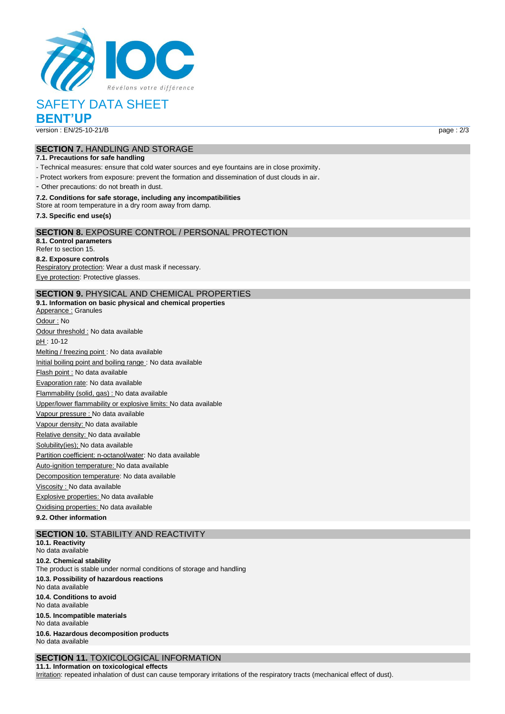

# SAFETY DATA SHEET

**BENT'UP**

version : EN/25-10-21/B page : 2/3

# **SECTION 7.** HANDLING AND STORAGE

## **7.1. Precautions for safe handling**

- Technical measures: ensure that cold water sources and eye fountains are in close proximity.

- Protect workers from exposure: prevent the formation and dissemination of dust clouds in air.

- Other precautions: do not breath in dust.

#### **7.2. Conditions for safe storage, including any incompatibilities**

Store at room temperature in a dry room away from damp.

**7.3. Specific end use(s)**

## **SECTION 8.** EXPOSURE CONTROL / PERSONAL PROTECTION

**8.1. Control parameters** Refer to section 15.

**8.2. Exposure controls** Respiratory protection: Wear a dust mask if necessary. Eye protection: Protective glasses.

# **SECTION 9.** PHYSICAL AND CHEMICAL PROPERTIES

**9.1. Information on basic physical and chemical properties** Apperance : Granules Odour : No Odour threshold : No data available pH : 10-12 Melting / freezing point : No data available Initial boiling point and boiling range : No data available Flash point : No data available Evaporation rate: No data available Flammability (solid, gas) : No data available Upper/lower flammability or explosive limits: No data available Vapour pressure : No data available Vapour density: No data available Relative density: No data available Solubility(ies); No data available Partition coefficient: n-octanol/water: No data available Auto-ignition temperature: No data available Decomposition temperature: No data available Viscosity : No data available Explosive properties: No data available Oxidising properties: No data available

**9.2. Other information**

# **SECTION 10.** STABILITY AND REACTIVITY

**10.1. Reactivity** No data available **10.2. Chemical stability** The product is stable under normal conditions of storage and handling **10.3. Possibility of hazardous reactions** No data available **10.4. Conditions to avoid** No data available **10.5. Incompatible materials** No data available **10.6. Hazardous decomposition products** No data available

#### **SECTION 11.** TOXICOLOGICAL INFORMATION **11.1. Information on toxicological effects**

Irritation: repeated inhalation of dust can cause temporary irritations of the respiratory tracts (mechanical effect of dust).